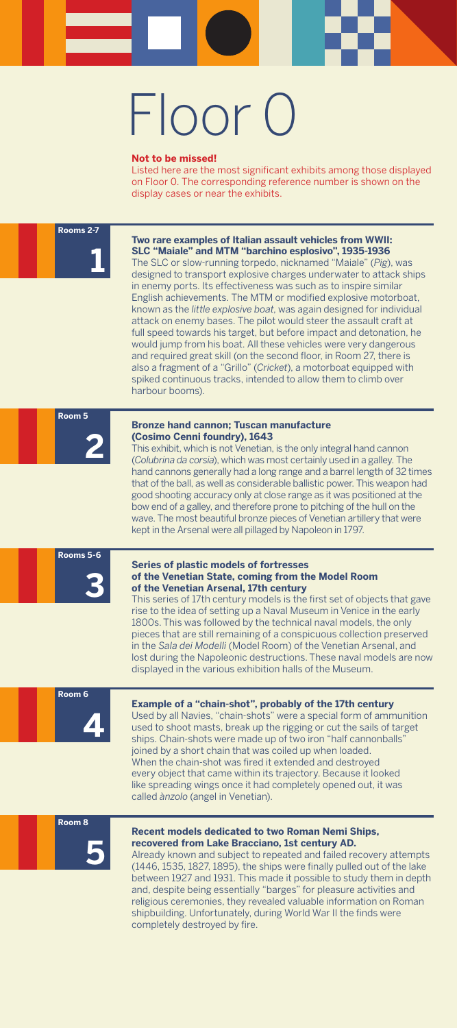#### **Two rare examples of Italian assault vehicles from WWII: SLC "Maiale" and MTM "barchino esplosivo", 1935-1936**

The SLC or slow-running torpedo, nicknamed "Maiale" (*Pig*), was designed to transport explosive charges underwater to attack ships in enemy ports. Its effectiveness was such as to inspire similar English achievements. The MTM or modified explosive motorboat, known as the *little explosive boat*, was again designed for individual attack on enemy bases. The pilot would steer the assault craft at full speed towards his target, but before impact and detonation, he would jump from his boat. All these vehicles were very dangerous and required great skill (on the second floor, in Room 27, there is also a fragment of a "Grillo" (*Cricket*), a motorboat equipped with spiked continuous tracks, intended to allow them to climb over harbour booms).

#### **Bronze hand cannon; Tuscan manufacture (Cosimo Cenni foundry), 1643**

This exhibit, which is not Venetian, is the only integral hand cannon (*Colubrina da corsia*), which was most certainly used in a galley. The hand cannons generally had a long range and a barrel length of 32 times that of the ball, as well as considerable ballistic power. This weapon had good shooting accuracy only at close range as it was positioned at the bow end of a galley, and therefore prone to pitching of the hull on the wave. The most beautiful bronze pieces of Venetian artillery that were kept in the Arsenal were all pillaged by Napoleon in 1797.

#### **Series of plastic models of fortresses of the Venetian State, coming from the Model Room of the Venetian Arsenal, 17th century**

This series of 17th century models is the first set of objects that gave rise to the idea of setting up a Naval Museum in Venice in the early 1800s. This was followed by the technical naval models, the only pieces that are still remaining of a conspicuous collection preserved in the *Sala dei Modelli* (Model Room) of the Venetian Arsenal, and lost during the Napoleonic destructions. These naval models are now displayed in the various exhibition halls of the Museum.

#### **Example of a "chain-shot", probably of the 17th century**

Used by all Navies, "chain-shots" were a special form of ammunition

used to shoot masts, break up the rigging or cut the sails of target ships. Chain-shots were made up of two iron "half cannonballs" joined by a short chain that was coiled up when loaded. When the chain-shot was fired it extended and destroyed every object that came within its trajectory. Because it looked like spreading wings once it had completely opened out, it was called *ànzolo* (angel in Venetian).

#### **Recent models dedicated to two Roman Nemi Ships, recovered from Lake Bracciano, 1st century AD.**

Already known and subject to repeated and failed recovery attempts (1446, 1535, 1827, 1895), the ships were finally pulled out of the lake between 1927 and 1931. This made it possible to study them in depth and, despite being essentially "barges" for pleasure activities and religious ceremonies, they revealed valuable information on Roman shipbuilding. Unfortunately, during World War II the finds were completely destroyed by fire.

**1**

**2**

**3**

### **4**



### **Rooms 2-7**

#### **Room 5**

#### **Rooms 5-6**

**Room 6**

#### **Room 8**

# Floor 0

#### **Not to be missed!**

Listed here are the most significant exhibits among those displayed on Floor 0. The corresponding reference number is shown on the display cases or near the exhibits.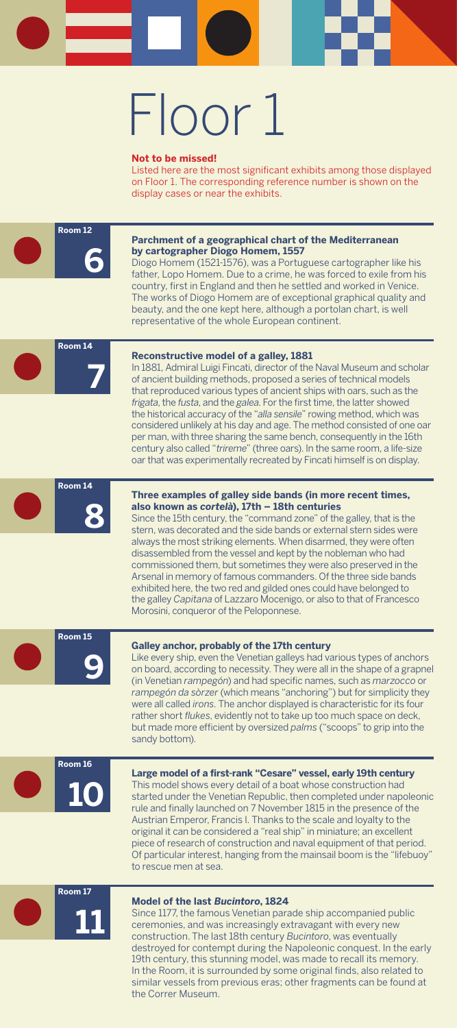**9**





**11**



### **8 Room 14**

#### **Room 15**

**Room 16**

**Room 17**

# Floor 1

#### **Parchment of a geographical chart of the Mediterranean by cartographer Diogo Homem, 1557**

Diogo Homem (1521-1576), was a Portuguese cartographer like his father, Lopo Homem. Due to a crime, he was forced to exile from his country, first in England and then he settled and worked in Venice. The works of Diogo Homem are of exceptional graphical quality and beauty, and the one kept here, although a portolan chart, is well representative of the whole European continent.

#### **Reconstructive model of a galley, 1881**

In 1881, Admiral Luigi Fincati, director of the Naval Museum and scholar of ancient building methods, proposed a series of technical models that reproduced various types of ancient ships with oars, such as the *frigata*, the *fusta*, and the *galea*. For the first time, the latter showed the historical accuracy of the "*alla sensile*" rowing method, which was considered unlikely at his day and age. The method consisted of one oar per man, with three sharing the same bench, consequently in the 16th century also called "*trireme*" (three oars). In the same room, a life-size oar that was experimentally recreated by Fincati himself is on display.

#### **Three examples of galley side bands (in more recent times, also known as** *cortelà***), 17th – 18th centuries**

Since the 15th century, the "command zone" of the galley, that is the stern, was decorated and the side bands or external stern sides were always the most striking elements. When disarmed, they were often disassembled from the vessel and kept by the nobleman who had commissioned them, but sometimes they were also preserved in the Arsenal in memory of famous commanders. Of the three side bands exhibited here, the two red and gilded ones could have belonged to the galley *Capitana* of Lazzaro Mocenigo, or also to that of Francesco Morosini, conqueror of the Peloponnese.

#### **Galley anchor, probably of the 17th century**

Like every ship, even the Venetian galleys had various types of anchors on board, according to necessity. They were all in the shape of a grapnel (in Venetian *rampegón*) and had specific names, such as *marzocco* or *rampegón da sòrzer* (which means "anchoring") but for simplicity they were all called *irons*. The anchor displayed is characteristic for its four rather short *flukes*, evidently not to take up too much space on deck, but made more efficient by oversized *palms* ("scoops" to grip into the sandy bottom).

#### **Large model of a first-rank "Cesare" vessel, early 19th century**

This model shows every detail of a boat whose construction had started under the Venetian Republic, then completed under napoleonic rule and finally launched on 7 November 1815 in the presence of the Austrian Emperor, Francis I. Thanks to the scale and loyalty to the original it can be considered a "real ship" in miniature; an excellent piece of research of construction and naval equipment of that period. Of particular interest, hanging from the mainsail boom is the "lifebuoy" to rescue men at sea.

#### **Model of the last** *Bucintoro***, 1824**

Since 1177, the famous Venetian parade ship accompanied public ceremonies, and was increasingly extravagant with every new construction. The last 18th century *Bucintoro*, was eventually destroyed for contempt during the Napoleonic conquest. In the early 19th century, this stunning model, was made to recall its memory. In the Room, it is surrounded by some original finds, also related to similar vessels from previous eras; other fragments can be found at the Correr Museum.

#### **Not to be missed!**

Listed here are the most significant exhibits among those displayed on Floor 1. The corresponding reference number is shown on the display cases or near the exhibits.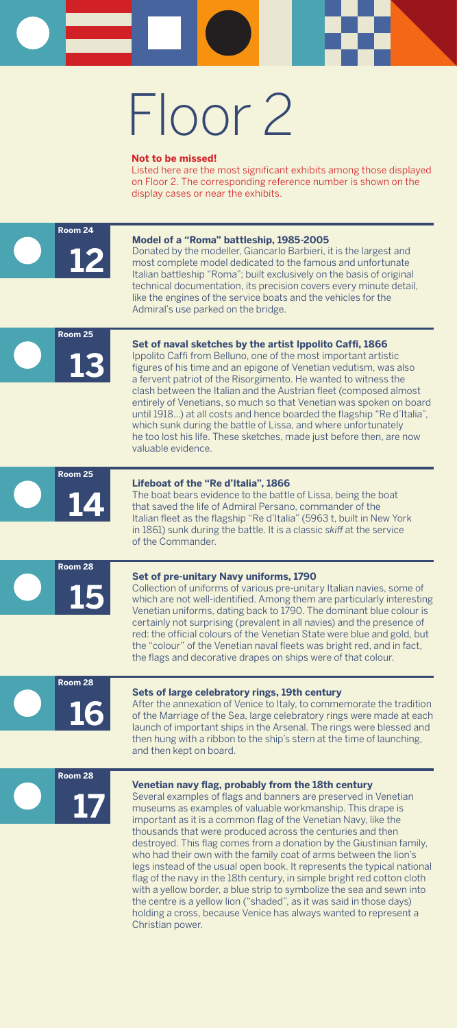

**17**









**Room 28**

# Floor 2

#### **Model of a "Roma" battleship, 1985-2005**

Donated by the modeller, Giancarlo Barbieri, it is the largest and most complete model dedicated to the famous and unfortunate Italian battleship "Roma"; built exclusively on the basis of original technical documentation, its precision covers every minute detail, like the engines of the service boats and the vehicles for the Admiral's use parked on the bridge.

#### **Set of naval sketches by the artist Ippolito Caffi, 1866**

Ippolito Caffi from Belluno, one of the most important artistic figures of his time and an epigone of Venetian vedutism, was also a fervent patriot of the Risorgimento. He wanted to witness the clash between the Italian and the Austrian fleet (composed almost entirely of Venetians, so much so that Venetian was spoken on board until 1918...) at all costs and hence boarded the flagship "Re d'Italia", which sunk during the battle of Lissa, and where unfortunately he too lost his life. These sketches, made just before then, are now valuable evidence.

#### **Lifeboat of the "Re d'Italia", 1866**

The boat bears evidence to the battle of Lissa, being the boat that saved the life of Admiral Persano, commander of the Italian fleet as the flagship "Re d'Italia" (5963 t, built in New York in 1861) sunk during the battle. It is a classic *skiff* at the service of the Commander.

#### **Set of pre-unitary Navy uniforms, 1790**

Collection of uniforms of various pre-unitary Italian navies, some of which are not well-identified. Among them are particularly interesting Venetian uniforms, dating back to 1790. The dominant blue colour is certainly not surprising (prevalent in all navies) and the presence of red: the official colours of the Venetian State were blue and gold, but the "colour" of the Venetian naval fleets was bright red, and in fact, the flags and decorative drapes on ships were of that colour.

#### **Sets of large celebratory rings, 19th century**

After the annexation of Venice to Italy, to commemorate the tradition of the Marriage of the Sea, large celebratory rings were made at each launch of important ships in the Arsenal. The rings were blessed and then hung with a ribbon to the ship's stern at the time of launching, and then kept on board.

#### **Venetian navy flag, probably from the 18th century**

Several examples of flags and banners are preserved in Venetian museums as examples of valuable workmanship. This drape is important as it is a common flag of the Venetian Navy, like the thousands that were produced across the centuries and then destroyed. This flag comes from a donation by the Giustinian family, who had their own with the family coat of arms between the lion's legs instead of the usual open book. It represents the typical national flag of the navy in the 18th century, in simple bright red cotton cloth with a yellow border, a blue strip to symbolize the sea and sewn into the centre is a yellow lion ("shaded", as it was said in those days) holding a cross, because Venice has always wanted to represent a Christian power.

#### **Not to be missed!**

Listed here are the most significant exhibits among those displayed on Floor 2. The corresponding reference number is shown on the display cases or near the exhibits.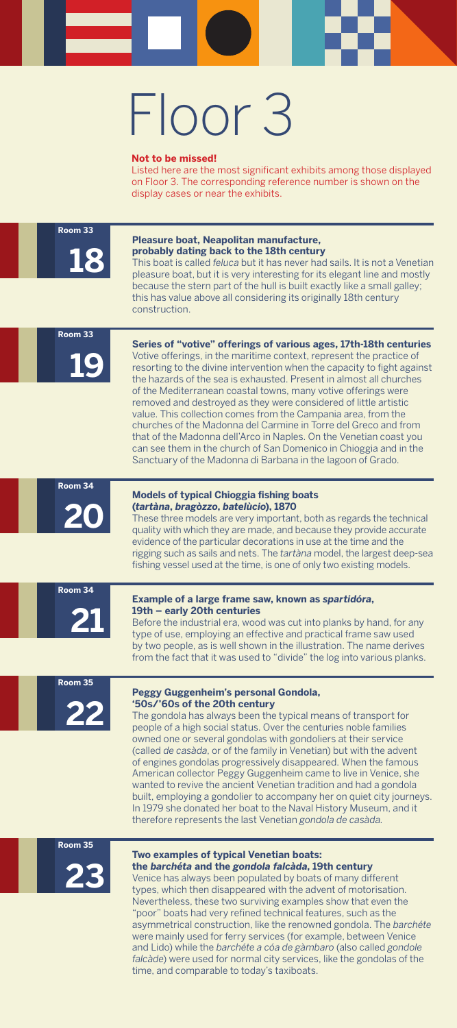

**20**







### **19 Room 33**

#### **Room 33**

#### **Room 34**

#### **Room 34**

#### **Room 35**

#### **Room 35**

# Floor 3

#### **Pleasure boat, Neapolitan manufacture, probably dating back to the 18th century**

This boat is called *feluca* but it has never had sails. It is not a Venetian pleasure boat, but it is very interesting for its elegant line and mostly because the stern part of the hull is built exactly like a small galley; this has value above all considering its originally 18th century construction.

#### **Series of "votive" offerings of various ages, 17th-18th centuries**

Votive offerings, in the maritime context, represent the practice of resorting to the divine intervention when the capacity to fight against the hazards of the sea is exhausted. Present in almost all churches of the Mediterranean coastal towns, many votive offerings were removed and destroyed as they were considered of little artistic value. This collection comes from the Campania area, from the churches of the Madonna del Carmine in Torre del Greco and from that of the Madonna dell'Arco in Naples. On the Venetian coast you can see them in the church of San Domenico in Chioggia and in the Sanctuary of the Madonna di Barbana in the lagoon of Grado.

#### **Models of typical Chioggia fishing boats (***tartàna***,** *bragòzzo***,** *batelùcio***), 1870**

These three models are very important, both as regards the technical quality with which they are made, and because they provide accurate evidence of the particular decorations in use at the time and the rigging such as sails and nets. The *tartàna* model, the largest deep-sea fishing vessel used at the time, is one of only two existing models.

#### **Example of a large frame saw, known as** *spartidóra***, 19th – early 20th centuries**

Before the industrial era, wood was cut into planks by hand, for any type of use, employing an effective and practical frame saw used by two people, as is well shown in the illustration. The name derives from the fact that it was used to "divide" the log into various planks.

#### **Peggy Guggenheim's personal Gondola, '50s/'60s of the 20th century**

The gondola has always been the typical means of transport for people of a high social status. Over the centuries noble families owned one or several gondolas with gondoliers at their service (called *de casàda*, or of the family in Venetian) but with the advent of engines gondolas progressively disappeared. When the famous American collector Peggy Guggenheim came to live in Venice, she wanted to revive the ancient Venetian tradition and had a gondola built, employing a gondolier to accompany her on quiet city journeys. In 1979 she donated her boat to the Naval History Museum, and it therefore represents the last Venetian *gondola de casàda*.

#### **Two examples of typical Venetian boats: the** *barchéta* **and the** *gondola falcàda***, 19th century**

Venice has always been populated by boats of many different types, which then disappeared with the advent of motorisation. Nevertheless, these two surviving examples show that even the "poor" boats had very refined technical features, such as the asymmetrical construction, like the renowned gondola. The *barchéte* were mainly used for ferry services (for example, between Venice and Lido) while the *barchéte a cóa de gàmbaro* (also called *gondole falcàde*) were used for normal city services, like the gondolas of the time, and comparable to today's taxiboats.

#### **Not to be missed!**

Listed here are the most significant exhibits among those displayed on Floor 3. The corresponding reference number is shown on the display cases or near the exhibits.